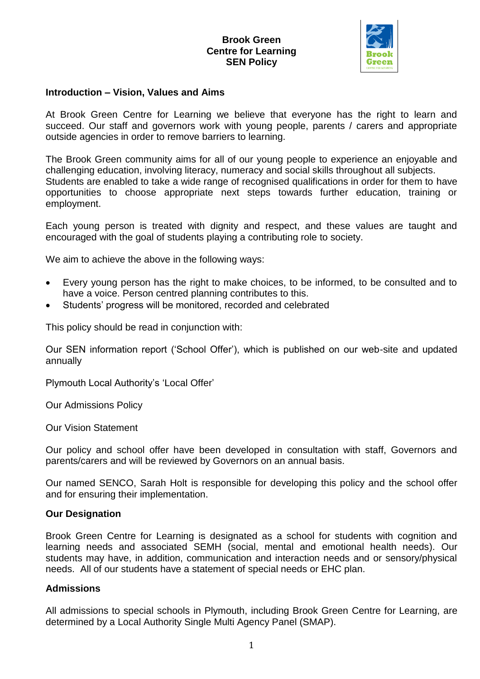

#### **Introduction – Vision, Values and Aims**

At Brook Green Centre for Learning we believe that everyone has the right to learn and succeed. Our staff and governors work with young people, parents / carers and appropriate outside agencies in order to remove barriers to learning.

The Brook Green community aims for all of our young people to experience an enjoyable and challenging education, involving literacy, numeracy and social skills throughout all subjects. Students are enabled to take a wide range of recognised qualifications in order for them to have opportunities to choose appropriate next steps towards further education, training or employment.

Each young person is treated with dignity and respect, and these values are taught and encouraged with the goal of students playing a contributing role to society.

We aim to achieve the above in the following ways:

- Every young person has the right to make choices, to be informed, to be consulted and to have a voice. Person centred planning contributes to this.
- Students' progress will be monitored, recorded and celebrated

This policy should be read in conjunction with:

Our SEN information report ('School Offer'), which is published on our web-site and updated annually

Plymouth Local Authority's 'Local Offer'

Our Admissions Policy

Our Vision Statement

Our policy and school offer have been developed in consultation with staff, Governors and parents/carers and will be reviewed by Governors on an annual basis.

Our named SENCO, Sarah Holt is responsible for developing this policy and the school offer and for ensuring their implementation.

#### **Our Designation**

Brook Green Centre for Learning is designated as a school for students with cognition and learning needs and associated SEMH (social, mental and emotional health needs). Our students may have, in addition, communication and interaction needs and or sensory/physical needs. All of our students have a statement of special needs or EHC plan.

## **Admissions**

All admissions to special schools in Plymouth, including Brook Green Centre for Learning, are determined by a Local Authority Single Multi Agency Panel (SMAP).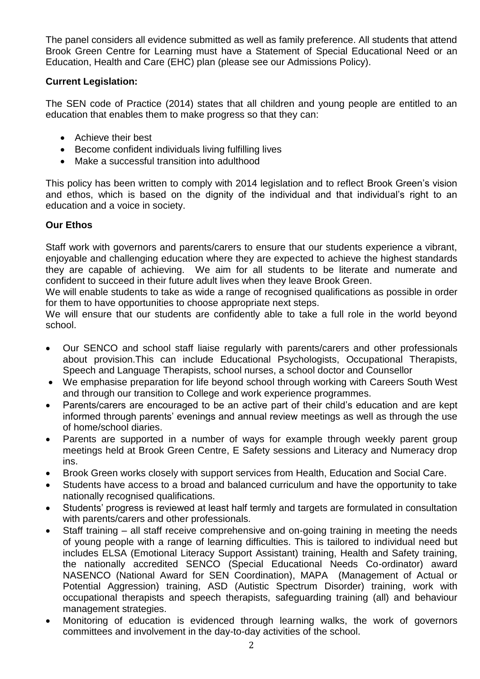The panel considers all evidence submitted as well as family preference. All students that attend Brook Green Centre for Learning must have a Statement of Special Educational Need or an Education, Health and Care (EHC) plan (please see our Admissions Policy).

# **Current Legislation:**

The SEN code of Practice (2014) states that all children and young people are entitled to an education that enables them to make progress so that they can:

- Achieve their best
- Become confident individuals living fulfilling lives
- Make a successful transition into adulthood

This policy has been written to comply with 2014 legislation and to reflect Brook Green's vision and ethos, which is based on the dignity of the individual and that individual's right to an education and a voice in society.

## **Our Ethos**

Staff work with governors and parents/carers to ensure that our students experience a vibrant, enjoyable and challenging education where they are expected to achieve the highest standards they are capable of achieving. We aim for all students to be literate and numerate and confident to succeed in their future adult lives when they leave Brook Green.

We will enable students to take as wide a range of recognised qualifications as possible in order for them to have opportunities to choose appropriate next steps.

We will ensure that our students are confidently able to take a full role in the world beyond school.

- Our SENCO and school staff liaise regularly with parents/carers and other professionals about provision.This can include Educational Psychologists, Occupational Therapists, Speech and Language Therapists, school nurses, a school doctor and Counsellor
- We emphasise preparation for life beyond school through working with Careers South West and through our transition to College and work experience programmes.
- Parents/carers are encouraged to be an active part of their child's education and are kept informed through parents' evenings and annual review meetings as well as through the use of home/school diaries.
- Parents are supported in a number of ways for example through weekly parent group meetings held at Brook Green Centre, E Safety sessions and Literacy and Numeracy drop ins.
- Brook Green works closely with support services from Health, Education and Social Care.
- Students have access to a broad and balanced curriculum and have the opportunity to take nationally recognised qualifications.
- Students' progress is reviewed at least half termly and targets are formulated in consultation with parents/carers and other professionals.
- Staff training all staff receive comprehensive and on-going training in meeting the needs of young people with a range of learning difficulties. This is tailored to individual need but includes ELSA (Emotional Literacy Support Assistant) training, Health and Safety training, the nationally accredited SENCO (Special Educational Needs Co-ordinator) award NASENCO (National Award for SEN Coordination), MAPA (Management of Actual or Potential Aggression) training, ASD (Autistic Spectrum Disorder) training, work with occupational therapists and speech therapists, safeguarding training (all) and behaviour management strategies.
- Monitoring of education is evidenced through learning walks, the work of governors committees and involvement in the day-to-day activities of the school.